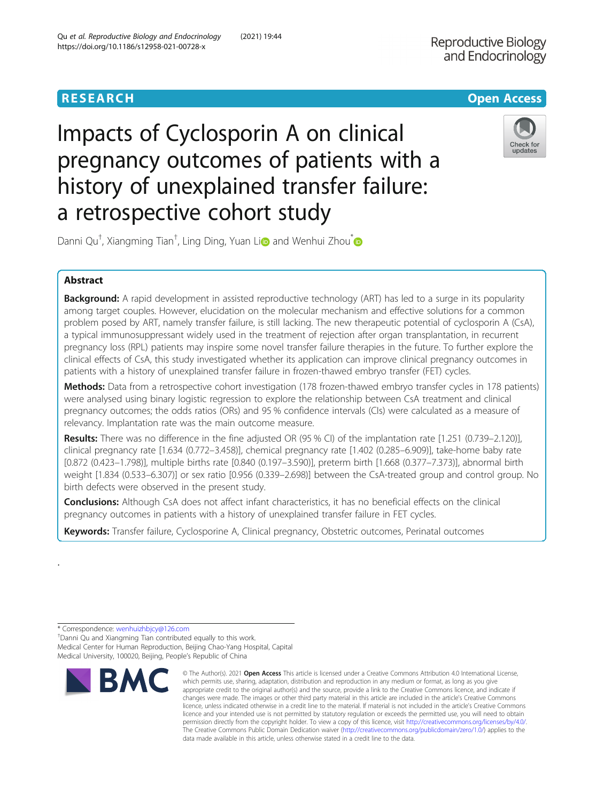# **RESEARCH CHINESE ARCH CHINESE ARCHITECT AND ACCESS**

Impacts of Cyclosporin A on clinical pregnancy outcomes of patients with a history of unexplained transfer failure: a retrospective cohort study



Dann[i](http://orcid.org/0000-0002-1683-6801) Qu<sup>†</sup>, Xiangming Tian<sup>†</sup>, Ling Ding, Yuan Li**o** and Wenhui Zhou<sup>\*</sup>

# Abstract

Background: A rapid development in assisted reproductive technology (ART) has led to a surge in its popularity among target couples. However, elucidation on the molecular mechanism and effective solutions for a common problem posed by ART, namely transfer failure, is still lacking. The new therapeutic potential of cyclosporin A (CsA), a typical immunosuppressant widely used in the treatment of rejection after organ transplantation, in recurrent pregnancy loss (RPL) patients may inspire some novel transfer failure therapies in the future. To further explore the clinical effects of CsA, this study investigated whether its application can improve clinical pregnancy outcomes in patients with a history of unexplained transfer failure in frozen-thawed embryo transfer (FET) cycles.

Methods: Data from a retrospective cohort investigation (178 frozen-thawed embryo transfer cycles in 178 patients) were analysed using binary logistic regression to explore the relationship between CsA treatment and clinical pregnancy outcomes; the odds ratios (ORs) and 95 % confidence intervals (CIs) were calculated as a measure of relevancy. Implantation rate was the main outcome measure.

Results: There was no difference in the fine adjusted OR (95 % CI) of the implantation rate [1.251 (0.739–2.120)], clinical pregnancy rate [1.634 (0.772–3.458)], chemical pregnancy rate [1.402 (0.285–6.909)], take-home baby rate [0.872 (0.423–1.798)], multiple births rate [0.840 (0.197–3.590)], preterm birth [1.668 (0.377–7.373)], abnormal birth weight [1.834 (0.533–6.307)] or sex ratio [0.956 (0.339–2.698)] between the CsA-treated group and control group. No birth defects were observed in the present study.

Conclusions: Although CsA does not affect infant characteristics, it has no beneficial effects on the clinical pregnancy outcomes in patients with a history of unexplained transfer failure in FET cycles.

Keywords: Transfer failure, Cyclosporine A, Clinical pregnancy, Obstetric outcomes, Perinatal outcomes

.

Danni Qu and Xiangming Tian contributed equally to this work. Medical Center for Human Reproduction, Beijing Chao-Yang Hospital, Capital Medical University, 100020, Beijing, People's Republic of China



<sup>©</sup> The Author(s), 2021 **Open Access** This article is licensed under a Creative Commons Attribution 4.0 International License, which permits use, sharing, adaptation, distribution and reproduction in any medium or format, as long as you give appropriate credit to the original author(s) and the source, provide a link to the Creative Commons licence, and indicate if changes were made. The images or other third party material in this article are included in the article's Creative Commons licence, unless indicated otherwise in a credit line to the material. If material is not included in the article's Creative Commons licence and your intended use is not permitted by statutory regulation or exceeds the permitted use, you will need to obtain permission directly from the copyright holder. To view a copy of this licence, visit [http://creativecommons.org/licenses/by/4.0/.](http://creativecommons.org/licenses/by/4.0/) The Creative Commons Public Domain Dedication waiver [\(http://creativecommons.org/publicdomain/zero/1.0/](http://creativecommons.org/publicdomain/zero/1.0/)) applies to the data made available in this article, unless otherwise stated in a credit line to the data.

<sup>\*</sup> Correspondence: [wenhuizhbjcy@126.com](mailto:wenhuizhbjcy@126.com) †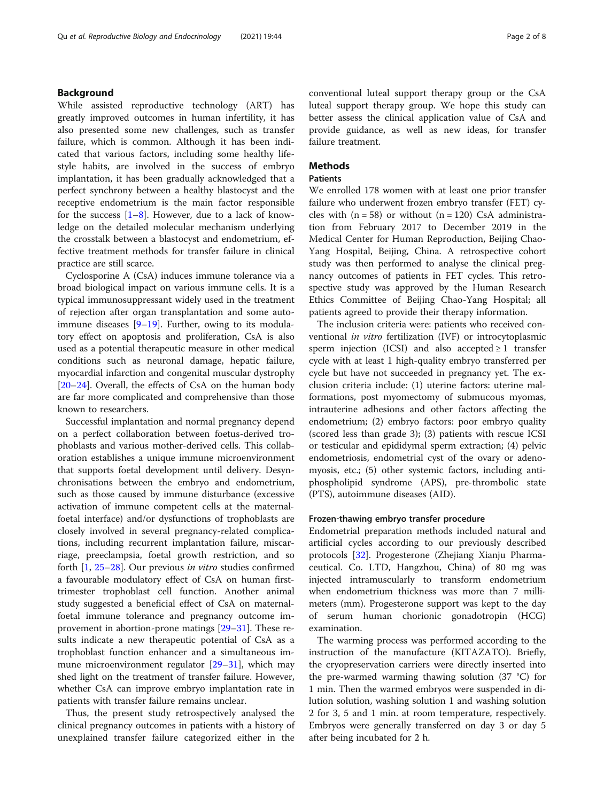# Background

While assisted reproductive technology (ART) has greatly improved outcomes in human infertility, it has also presented some new challenges, such as transfer failure, which is common. Although it has been indicated that various factors, including some healthy lifestyle habits, are involved in the success of embryo implantation, it has been gradually acknowledged that a perfect synchrony between a healthy blastocyst and the receptive endometrium is the main factor responsible for the success  $[1-8]$  $[1-8]$  $[1-8]$  $[1-8]$ . However, due to a lack of knowledge on the detailed molecular mechanism underlying the crosstalk between a blastocyst and endometrium, effective treatment methods for transfer failure in clinical practice are still scarce.

Cyclosporine A (CsA) induces immune tolerance via a broad biological impact on various immune cells. It is a typical immunosuppressant widely used in the treatment of rejection after organ transplantation and some autoimmune diseases  $[9-19]$  $[9-19]$  $[9-19]$  $[9-19]$ . Further, owing to its modulatory effect on apoptosis and proliferation, CsA is also used as a potential therapeutic measure in other medical conditions such as neuronal damage, hepatic failure, myocardial infarction and congenital muscular dystrophy [[20](#page-7-0)–[24](#page-7-0)]. Overall, the effects of CsA on the human body are far more complicated and comprehensive than those known to researchers.

Successful implantation and normal pregnancy depend on a perfect collaboration between foetus-derived trophoblasts and various mother-derived cells. This collaboration establishes a unique immune microenvironment that supports foetal development until delivery. Desynchronisations between the embryo and endometrium, such as those caused by immune disturbance (excessive activation of immune competent cells at the maternalfoetal interface) and/or dysfunctions of trophoblasts are closely involved in several pregnancy-related complications, including recurrent implantation failure, miscarriage, preeclampsia, foetal growth restriction, and so forth [\[1,](#page-6-0) [25](#page-7-0)–[28\]](#page-7-0). Our previous in vitro studies confirmed a favourable modulatory effect of CsA on human firsttrimester trophoblast cell function. Another animal study suggested a beneficial effect of CsA on maternalfoetal immune tolerance and pregnancy outcome improvement in abortion-prone matings [[29](#page-7-0)–[31](#page-7-0)]. These results indicate a new therapeutic potential of CsA as a trophoblast function enhancer and a simultaneous immune microenvironment regulator  $[29-31]$  $[29-31]$  $[29-31]$  $[29-31]$ , which may shed light on the treatment of transfer failure. However, whether CsA can improve embryo implantation rate in patients with transfer failure remains unclear.

Thus, the present study retrospectively analysed the clinical pregnancy outcomes in patients with a history of unexplained transfer failure categorized either in the conventional luteal support therapy group or the CsA luteal support therapy group. We hope this study can better assess the clinical application value of CsA and provide guidance, as well as new ideas, for transfer failure treatment.

# Methods

#### Patients

We enrolled 178 women with at least one prior transfer failure who underwent frozen embryo transfer (FET) cycles with  $(n = 58)$  or without  $(n = 120)$  CsA administration from February 2017 to December 2019 in the Medical Center for Human Reproduction, Beijing Chao-Yang Hospital, Beijing, China. A retrospective cohort study was then performed to analyse the clinical pregnancy outcomes of patients in FET cycles. This retrospective study was approved by the Human Research Ethics Committee of Beijing Chao-Yang Hospital; all patients agreed to provide their therapy information.

The inclusion criteria were: patients who received conventional in vitro fertilization (IVF) or introcytoplasmic sperm injection (ICSI) and also accepted  $\geq 1$  transfer cycle with at least 1 high-quality embryo transferred per cycle but have not succeeded in pregnancy yet. The exclusion criteria include: (1) uterine factors: uterine malformations, post myomectomy of submucous myomas, intrauterine adhesions and other factors affecting the endometrium; (2) embryo factors: poor embryo quality (scored less than grade 3); (3) patients with rescue ICSI or testicular and epididymal sperm extraction; (4) pelvic endometriosis, endometrial cyst of the ovary or adenomyosis, etc.; (5) other systemic factors, including antiphospholipid syndrome (APS), pre-thrombolic state (PTS), autoimmune diseases (AID).

### Frozen‐thawing embryo transfer procedure

Endometrial preparation methods included natural and artificial cycles according to our previously described protocols [[32\]](#page-7-0). Progesterone (Zhejiang Xianju Pharmaceutical. Co. LTD, Hangzhou, China) of 80 mg was injected intramuscularly to transform endometrium when endometrium thickness was more than 7 millimeters (mm). Progesterone support was kept to the day of serum human chorionic gonadotropin (HCG) examination.

The warming process was performed according to the instruction of the manufacture (KITAZATO). Briefly, the cryopreservation carriers were directly inserted into the pre-warmed warming thawing solution (37 °C) for 1 min. Then the warmed embryos were suspended in dilution solution, washing solution 1 and washing solution 2 for 3, 5 and 1 min. at room temperature, respectively. Embryos were generally transferred on day 3 or day 5 after being incubated for 2 h.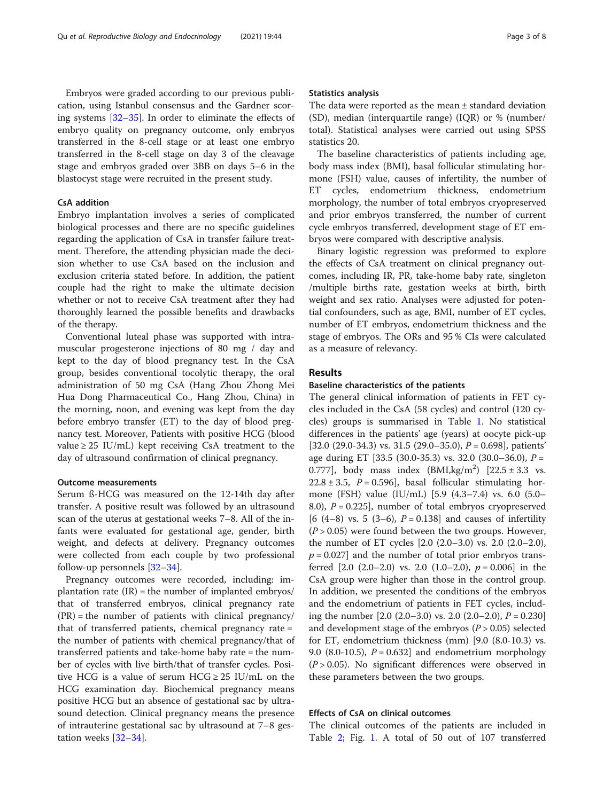Embryos were graded according to our previous publication, using Istanbul consensus and the Gardner scoring systems [\[32](#page-7-0)–[35\]](#page-7-0). In order to eliminate the effects of embryo quality on pregnancy outcome, only embryos transferred in the 8-cell stage or at least one embryo transferred in the 8-cell stage on day 3 of the cleavage stage and embryos graded over 3BB on days 5–6 in the blastocyst stage were recruited in the present study.

# CsA addition

Embryo implantation involves a series of complicated biological processes and there are no specific guidelines regarding the application of CsA in transfer failure treatment. Therefore, the attending physician made the decision whether to use CsA based on the inclusion and exclusion criteria stated before. In addition, the patient couple had the right to make the ultimate decision whether or not to receive CsA treatment after they had thoroughly learned the possible benefits and drawbacks of the therapy.

Conventional luteal phase was supported with intramuscular progesterone injections of 80 mg / day and kept to the day of blood pregnancy test. In the CsA group, besides conventional tocolytic therapy, the oral administration of 50 mg CsA (Hang Zhou Zhong Mei Hua Dong Pharmaceutical Co., Hang Zhou, China) in the morning, noon, and evening was kept from the day before embryo transfer (ET) to the day of blood pregnancy test. Moreover, Patients with positive HCG (blood value  $\geq$  25 IU/mL) kept receiving CsA treatment to the day of ultrasound confirmation of clinical pregnancy.

### Outcome measurements

Serum ß-HCG was measured on the 12-14th day after transfer. A positive result was followed by an ultrasound scan of the uterus at gestational weeks 7–8. All of the infants were evaluated for gestational age, gender, birth weight, and defects at delivery. Pregnancy outcomes were collected from each couple by two professional follow-up personnels [[32](#page-7-0)–[34](#page-7-0)].

Pregnancy outcomes were recorded, including: implantation rate  $(IR)$  = the number of implanted embryos/ that of transferred embryos, clinical pregnancy rate  $(PR)$  = the number of patients with clinical pregnancy/ that of transferred patients, chemical pregnancy rate = the number of patients with chemical pregnancy/that of transferred patients and take-home baby rate = the number of cycles with live birth/that of transfer cycles. Positive HCG is a value of serum HCG  $\geq$  25 IU/mL on the HCG examination day. Biochemical pregnancy means positive HCG but an absence of gestational sac by ultrasound detection. Clinical pregnancy means the presence of intrauterine gestational sac by ultrasound at 7–8 gestation weeks [[32](#page-7-0)–[34](#page-7-0)].

### Statistics analysis

The data were reported as the mean ± standard deviation (SD), median (interquartile range) (IQR) or % (number/ total). Statistical analyses were carried out using SPSS statistics 20.

The baseline characteristics of patients including age, body mass index (BMI), basal follicular stimulating hormone (FSH) value, causes of infertility, the number of ET cycles, endometrium thickness, endometrium morphology, the number of total embryos cryopreserved and prior embryos transferred, the number of current cycle embryos transferred, development stage of ET embryos were compared with descriptive analysis.

Binary logistic regression was preformed to explore the effects of CsA treatment on clinical pregnancy outcomes, including IR, PR, take-home baby rate, singleton /multiple births rate, gestation weeks at birth, birth weight and sex ratio. Analyses were adjusted for potential confounders, such as age, BMI, number of ET cycles, number of ET embryos, endometrium thickness and the stage of embryos. The ORs and 95 % CIs were calculated as a measure of relevancy.

### Results

### Baseline characteristics of the patients

The general clinical information of patients in FET cycles included in the CsA (58 cycles) and control (120 cycles) groups is summarised in Table [1](#page-3-0). No statistical differences in the patients' age (years) at oocyte pick-up [32.0 (29.0-34.3) vs. 31.5 (29.0-35.0),  $P = 0.698$ ], patients' age during ET [33.5 (30.0-35.3) vs. 32.0 (30.0–36.0), P = 0.777], body mass index  $(BMI, kg/m^2)$   $[22.5 \pm 3.3$  vs.  $22.8 \pm 3.5$ ,  $P = 0.596$ , basal follicular stimulating hormone (FSH) value (IU/mL) [5.9 (4.3–7.4) vs. 6.0 (5.0– 8.0),  $P = 0.225$ , number of total embryos cryopreserved  $[6 (4–8) \text{ vs. } 5 (3–6), P = 0.138]$  and causes of infertility  $(P > 0.05)$  were found between the two groups. However, the number of ET cycles [2.0 (2.0–3.0) vs. 2.0 (2.0–2.0),  $p = 0.027$ ] and the number of total prior embryos transferred  $[2.0 (2.0–2.0)$  vs. 2.0  $(1.0–2.0)$ ,  $p = 0.006$ ] in the CsA group were higher than those in the control group. In addition, we presented the conditions of the embryos and the endometrium of patients in FET cycles, including the number  $[2.0 (2.0–3.0) \text{ vs. } 2.0 (2.0–2.0), P = 0.230]$ and development stage of the embryos ( $P > 0.05$ ) selected for ET, endometrium thickness (mm) [9.0 (8.0-10.3) vs. 9.0 (8.0-10.5),  $P = 0.632$ ] and endometrium morphology  $(P > 0.05)$ . No significant differences were observed in these parameters between the two groups.

### Effects of CsA on clinical outcomes

The clinical outcomes of the patients are included in Table [2;](#page-4-0) Fig. [1](#page-5-0). A total of 50 out of 107 transferred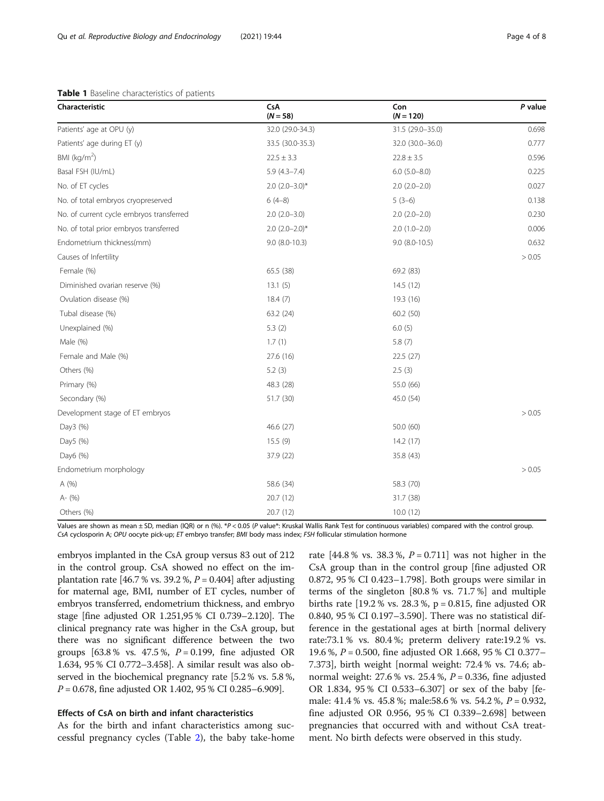### <span id="page-3-0"></span>Table 1 Baseline characteristics of patients

| Characteristic                           | CsA<br>$(N = 58)$   | Con<br>$(N = 120)$  | P value |
|------------------------------------------|---------------------|---------------------|---------|
| Patients' age at OPU (y)                 | 32.0 (29.0-34.3)    | 31.5 (29.0-35.0)    | 0.698   |
| Patients' age during ET (y)              | 33.5 (30.0-35.3)    | 32.0 (30.0-36.0)    | 0.777   |
| BMI ( $kg/m2$ )                          | $22.5 \pm 3.3$      | $22.8 \pm 3.5$      | 0.596   |
| Basal FSH (IU/mL)                        | $5.9(4.3 - 7.4)$    | $6.0$ $(5.0 - 8.0)$ | 0.225   |
| No. of ET cycles                         | $2.0 (2.0 - 3.0)^*$ | $2.0$ $(2.0-2.0)$   | 0.027   |
| No. of total embryos cryopreserved       | $6(4-8)$            | $5(3-6)$            | 0.138   |
| No. of current cycle embryos transferred | $2.0(2.0-3.0)$      | $2.0(2.0-2.0)$      | 0.230   |
| No. of total prior embryos transferred   | $2.0 (2.0 - 2.0)^*$ | $2.0(1.0-2.0)$      | 0.006   |
| Endometrium thickness(mm)                | $9.0 (8.0 - 10.3)$  | $9.0 (8.0 - 10.5)$  | 0.632   |
| Causes of Infertility                    |                     |                     | > 0.05  |
| Female (%)                               | 65.5 (38)           | 69.2 (83)           |         |
| Diminished ovarian reserve (%)           | 13.1(5)             | 14.5(12)            |         |
| Ovulation disease (%)                    | 18.4(7)             | 19.3 (16)           |         |
| Tubal disease (%)                        | 63.2 (24)           | 60.2 (50)           |         |
| Unexplained (%)                          | 5.3(2)              | 6.0(5)              |         |
| Male (%)                                 | 1.7(1)              | 5.8(7)              |         |
| Female and Male (%)                      | 27.6 (16)           | 22.5 (27)           |         |
| Others (%)                               | 5.2(3)              | 2.5(3)              |         |
| Primary (%)                              | 48.3 (28)           | 55.0 (66)           |         |
| Secondary (%)                            | 51.7 (30)           | 45.0 (54)           |         |
| Development stage of ET embryos          |                     |                     | > 0.05  |
| Day3 (%)                                 | 46.6 (27)           | 50.0 (60)           |         |
| Day5 (%)                                 | 15.5(9)             | 14.2(17)            |         |
| Day6 (%)                                 | 37.9 (22)           | 35.8 (43)           |         |
| Endometrium morphology                   |                     |                     | > 0.05  |
| A (%)                                    | 58.6 (34)           | 58.3 (70)           |         |
| A- (%)                                   | 20.7 (12)           | 31.7 (38)           |         |
| Others (%)                               | 20.7 (12)           | 10.0(12)            |         |

Values are shown as mean ± SD, median (IQR) or n (%). \*P < 0.05 (P value\*: Kruskal Wallis Rank Test for continuous variables) compared with the control group. CsA cyclosporin A; OPU oocyte pick-up; ET embryo transfer; BMI body mass index; FSH follicular stimulation hormone

embryos implanted in the CsA group versus 83 out of 212 in the control group. CsA showed no effect on the implantation rate [46.7 % vs. 39.2 %,  $P = 0.404$ ] after adjusting for maternal age, BMI, number of ET cycles, number of embryos transferred, endometrium thickness, and embryo stage [fine adjusted OR 1.251,95 % CI 0.739–2.120]. The clinical pregnancy rate was higher in the CsA group, but there was no significant difference between the two groups [63.8 % vs. 47.5 %,  $P = 0.199$ , fine adjusted OR 1.634, 95 % CI 0.772–3.458]. A similar result was also observed in the biochemical pregnancy rate [5.2 % vs. 5.8 %,  $P = 0.678$ , fine adjusted OR 1.402, 95 % CI 0.285–6.909].

# Effects of CsA on birth and infant characteristics

As for the birth and infant characteristics among successful pregnancy cycles (Table [2](#page-4-0)), the baby take-home rate  $[44.8\% \text{ vs. } 38.3\% \text{ , } P = 0.711]$  was not higher in the CsA group than in the control group [fine adjusted OR 0.872, 95 % CI 0.423–1.798]. Both groups were similar in terms of the singleton [80.8 % vs. 71.7 %] and multiple births rate [19.2 % vs. 28.3 %, p = 0.815, fine adjusted OR 0.840, 95 % CI 0.197–3.590]. There was no statistical difference in the gestational ages at birth [normal delivery rate:73.1 % vs. 80.4 %; preterm delivery rate:19.2 % vs. 19.6 %, P = 0.500, fine adjusted OR 1.668, 95 % CI 0.377– 7.373], birth weight [normal weight: 72.4 % vs. 74.6; abnormal weight:  $27.6$  % vs.  $25.4$  %,  $P = 0.336$ , fine adjusted OR 1.834, 95 % CI 0.533–6.307] or sex of the baby [female: 41.4 % vs. 45.8 %; male:58.6 % vs. 54.2 %, P = 0.932, fine adjusted OR 0.956, 95 % CI 0.339–2.698] between pregnancies that occurred with and without CsA treatment. No birth defects were observed in this study.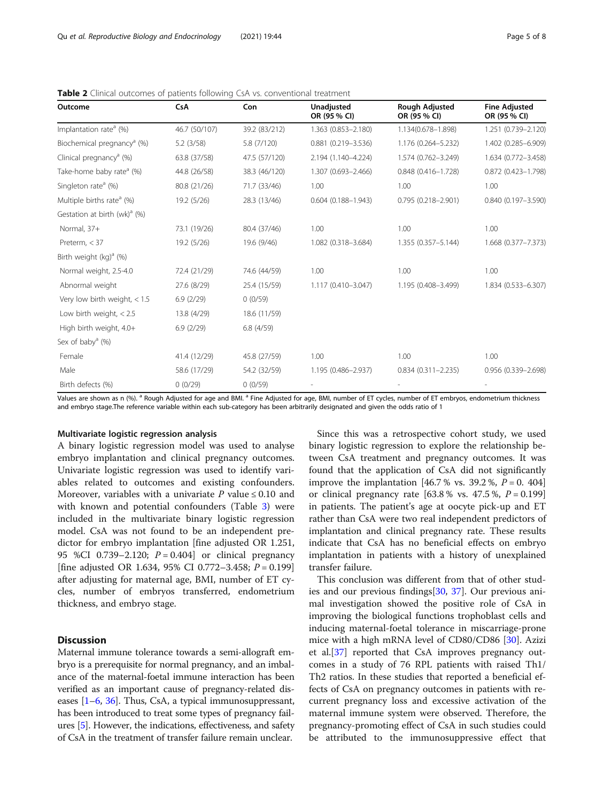| Outcome                                  | <b>CsA</b>    | <b>Con</b>    | <b>Unadiusted</b><br>OR (95 % CI) | <b>Rough Adjusted</b><br>OR (95 % CI) | <b>Fine Adjusted</b><br>OR (95 % CI) |
|------------------------------------------|---------------|---------------|-----------------------------------|---------------------------------------|--------------------------------------|
| Implantation rate <sup>a</sup> (%)       | 46.7 (50/107) | 39.2 (83/212) | 1.363 (0.853-2.180)               | 1.134(0.678-1.898)                    | 1.251 (0.739-2.120)                  |
| Biochemical pregnancy <sup>a</sup> (%)   | 5.2(3/58)     | 5.8 (7/120)   | $0.881$ (0.219-3.536)             | 1.176 (0.264-5.232)                   | 1.402 (0.285-6.909)                  |
| Clinical pregnancy <sup>a</sup> (%)      | 63.8 (37/58)  | 47.5 (57/120) | 2.194 (1.140-4.224)               | 1.574 (0.762-3.249)                   | 1.634 (0.772-3.458)                  |
| Take-home baby rate <sup>a</sup> (%)     | 44.8 (26/58)  | 38.3 (46/120) | 1.307 (0.693-2.466)               | $0.848(0.416 - 1.728)$                | 0.872 (0.423-1.798)                  |
| Singleton rate <sup>a</sup> (%)          | 80.8 (21/26)  | 71.7 (33/46)  | 1.00                              | 1.00                                  | 1.00                                 |
| Multiple births rate <sup>a</sup> (%)    | 19.2 (5/26)   | 28.3 (13/46)  | $0.604(0.188 - 1.943)$            | $0.795(0.218 - 2.901)$                | $0.840(0.197 - 3.590)$               |
| Gestation at birth (wk) <sup>a</sup> (%) |               |               |                                   |                                       |                                      |
| Normal, 37+                              | 73.1 (19/26)  | 80.4 (37/46)  | 1.00                              | 1.00                                  | 1.00                                 |
| Preterm, $<$ 37                          | 19.2 (5/26)   | 19.6 (9/46)   | 1.082 (0.318-3.684)               | 1.355 (0.357-5.144)                   | 1.668 (0.377-7.373)                  |
| Birth weight $(kq)^{a}$ (%)              |               |               |                                   |                                       |                                      |
| Normal weight, 2.5-4.0                   | 72.4 (21/29)  | 74.6 (44/59)  | 1.00                              | 1.00                                  | 1.00                                 |
| Abnormal weight                          | 27.6 (8/29)   | 25.4 (15/59)  | 1.117 (0.410-3.047)               | 1.195 (0.408-3.499)                   | 1.834 (0.533-6.307)                  |
| Very low birth weight, $< 1.5$           | 6.9(2/29)     | 0(0/59)       |                                   |                                       |                                      |
| Low birth weight, $< 2.5$                | 13.8 (4/29)   | 18.6 (11/59)  |                                   |                                       |                                      |
| High birth weight, 4.0+                  | 6.9(2/29)     | 6.8(4/59)     |                                   |                                       |                                      |
| Sex of baby <sup>a</sup> $(\%)$          |               |               |                                   |                                       |                                      |
| Female                                   | 41.4 (12/29)  | 45.8 (27/59)  | 1.00                              | 1.00                                  | 1.00                                 |
| Male                                     | 58.6 (17/29)  | 54.2 (32/59)  | 1.195 (0.486-2.937)               | $0.834(0.311 - 2.235)$                | 0.956 (0.339-2.698)                  |
| Birth defects (%)                        | 0(0/29)       | 0(0/59)       |                                   |                                       |                                      |

<span id="page-4-0"></span>Table 2 Clinical outcomes of patients following CsA vs. conventional treatment

Values are shown as n (%). <sup>a</sup> Rough Adjusted for age and BMI. <sup>a</sup> Fine Adjusted for age, BMI, number of ET cycles, number of ET embryos, endometrium thickness and embryo stage.The reference variable within each sub-category has been arbitrarily designated and given the odds ratio of 1

### Multivariate logistic regression analysis

A binary logistic regression model was used to analyse embryo implantation and clinical pregnancy outcomes. Univariate logistic regression was used to identify variables related to outcomes and existing confounders. Moreover, variables with a univariate P value  $\leq 0.10$  and with known and potential confounders (Table [3](#page-5-0)) were included in the multivariate binary logistic regression model. CsA was not found to be an independent predictor for embryo implantation [fine adjusted OR 1.251, 95 %CI 0.739–2.120;  $P = 0.404$  or clinical pregnancy [fine adjusted OR 1.634, 95% CI 0.772-3.458;  $P = 0.199$ ] after adjusting for maternal age, BMI, number of ET cycles, number of embryos transferred, endometrium thickness, and embryo stage.

# **Discussion**

Maternal immune tolerance towards a semi-allograft embryo is a prerequisite for normal pregnancy, and an imbalance of the maternal-foetal immune interaction has been verified as an important cause of pregnancy-related diseases [\[1](#page-6-0)–[6,](#page-6-0) [36\]](#page-7-0). Thus, CsA, a typical immunosuppressant, has been introduced to treat some types of pregnancy failures [\[5](#page-6-0)]. However, the indications, effectiveness, and safety of CsA in the treatment of transfer failure remain unclear.

Since this was a retrospective cohort study, we used binary logistic regression to explore the relationship between CsA treatment and pregnancy outcomes. It was found that the application of CsA did not significantly improve the implantation [46.7 % vs. 39.2 %,  $P = 0$ . 404] or clinical pregnancy rate  $[63.8 %$  vs. 47.5%,  $P = 0.199]$ in patients. The patient's age at oocyte pick-up and ET rather than CsA were two real independent predictors of implantation and clinical pregnancy rate. These results indicate that CsA has no beneficial effects on embryo implantation in patients with a history of unexplained transfer failure.

This conclusion was different from that of other studies and our previous findings[[30](#page-7-0), [37](#page-7-0)]. Our previous animal investigation showed the positive role of CsA in improving the biological functions trophoblast cells and inducing maternal-foetal tolerance in miscarriage-prone mice with a high mRNA level of CD80/CD86 [[30](#page-7-0)]. Azizi et al.[[37\]](#page-7-0) reported that CsA improves pregnancy outcomes in a study of 76 RPL patients with raised Th1/ Th2 ratios. In these studies that reported a beneficial effects of CsA on pregnancy outcomes in patients with recurrent pregnancy loss and excessive activation of the maternal immune system were observed. Therefore, the pregnancy-promoting effect of CsA in such studies could be attributed to the immunosuppressive effect that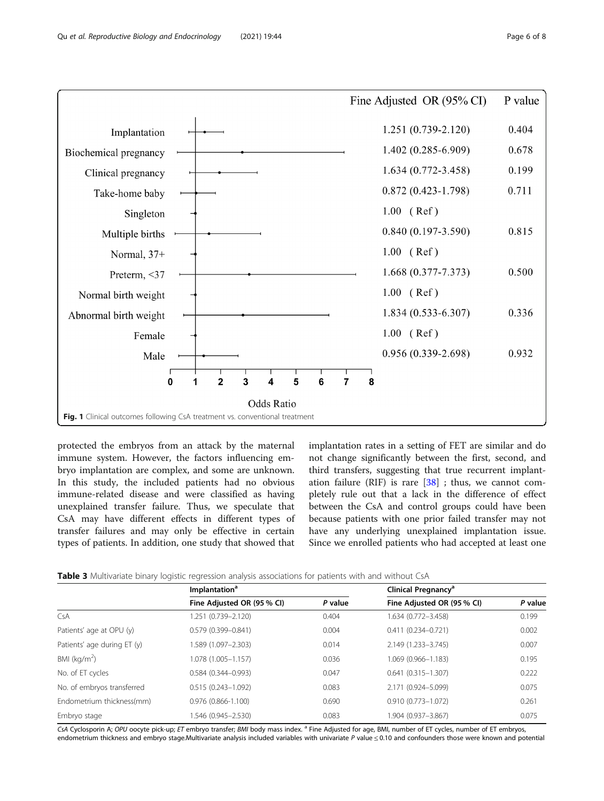<span id="page-5-0"></span>

protected the embryos from an attack by the maternal immune system. However, the factors influencing embryo implantation are complex, and some are unknown. In this study, the included patients had no obvious immune-related disease and were classified as having unexplained transfer failure. Thus, we speculate that CsA may have different effects in different types of transfer failures and may only be effective in certain types of patients. In addition, one study that showed that

implantation rates in a setting of FET are similar and do not change significantly between the first, second, and third transfers, suggesting that true recurrent implantation failure (RIF) is rare  $[38]$  $[38]$ ; thus, we cannot completely rule out that a lack in the difference of effect between the CsA and control groups could have been because patients with one prior failed transfer may not have any underlying unexplained implantation issue. Since we enrolled patients who had accepted at least one

|                             | Implantation <sup>a</sup>  |         | Clinical Pregnancy <sup>a</sup> |         |
|-----------------------------|----------------------------|---------|---------------------------------|---------|
|                             | Fine Adjusted OR (95 % CI) | P value | Fine Adjusted OR (95 % CI)      | P value |
| <b>CsA</b>                  | 1.251 (0.739-2.120)        | 0.404   | 1.634 (0.772-3.458)             | 0.199   |
| Patients' age at OPU (y)    | $0.579(0.399 - 0.841)$     | 0.004   | $0.411(0.234 - 0.721)$          | 0.002   |
| Patients' age during ET (y) | 1.589 (1.097-2.303)        | 0.014   | 2.149 (1.233-3.745)             | 0.007   |
| BMI ( $kg/m2$ )             | 1.078 (1.005-1.157)        | 0.036   | 1.069 (0.966-1.183)             | 0.195   |
| No. of ET cycles            | $0.584(0.344 - 0.993)$     | 0.047   | $0.641(0.315 - 1.307)$          | 0.222   |
| No. of embryos transferred  | $0.515(0.243 - 1.092)$     | 0.083   | 2.171 (0.924-5.099)             | 0.075   |
| Endometrium thickness(mm)   | $0.976(0.866 - 1.100)$     | 0.690   | $0.910(0.773 - 1.072)$          | 0.261   |
| Embryo stage                | 1.546 (0.945-2.530)        | 0.083   | 1.904 (0.937-3.867)             | 0.075   |

CsA Cyclosporin A; OPU oocyte pick-up; ET embryo transfer; BMI body mass index. <sup>a</sup> Fine Adjusted for age, BMI, number of ET cycles, number of ET embryos, endometrium thickness and embryo stage.Multivariate analysis included variables with univariate P value ≤ 0.10 and confounders those were known and potential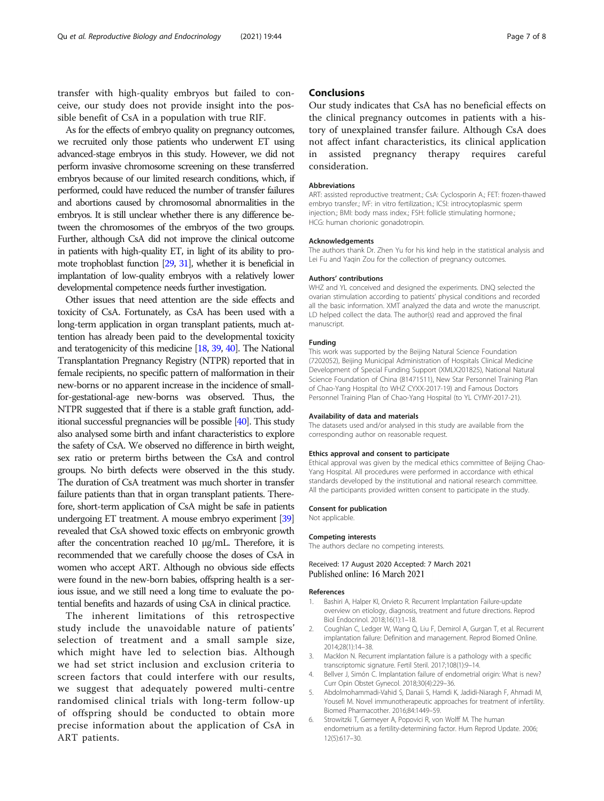<span id="page-6-0"></span>transfer with high-quality embryos but failed to conceive, our study does not provide insight into the possible benefit of CsA in a population with true RIF.

As for the effects of embryo quality on pregnancy outcomes, we recruited only those patients who underwent ET using advanced-stage embryos in this study. However, we did not perform invasive chromosome screening on these transferred embryos because of our limited research conditions, which, if performed, could have reduced the number of transfer failures and abortions caused by chromosomal abnormalities in the embryos. It is still unclear whether there is any difference between the chromosomes of the embryos of the two groups. Further, although CsA did not improve the clinical outcome in patients with high-quality ET, in light of its ability to promote trophoblast function [\[29](#page-7-0), [31\]](#page-7-0), whether it is beneficial in implantation of low-quality embryos with a relatively lower developmental competence needs further investigation.

Other issues that need attention are the side effects and toxicity of CsA. Fortunately, as CsA has been used with a long-term application in organ transplant patients, much attention has already been paid to the developmental toxicity and teratogenicity of this medicine [\[18](#page-7-0), [39,](#page-7-0) [40\]](#page-7-0). The National Transplantation Pregnancy Registry (NTPR) reported that in female recipients, no specific pattern of malformation in their new-borns or no apparent increase in the incidence of smallfor-gestational-age new-borns was observed. Thus, the NTPR suggested that if there is a stable graft function, additional successful pregnancies will be possible [\[40](#page-7-0)]. This study also analysed some birth and infant characteristics to explore the safety of CsA. We observed no difference in birth weight, sex ratio or preterm births between the CsA and control groups. No birth defects were observed in the this study. The duration of CsA treatment was much shorter in transfer failure patients than that in organ transplant patients. Therefore, short-term application of CsA might be safe in patients undergoing ET treatment. A mouse embryo experiment [\[39](#page-7-0)] revealed that CsA showed toxic effects on embryonic growth after the concentration reached 10 µg/mL. Therefore, it is recommended that we carefully choose the doses of CsA in women who accept ART. Although no obvious side effects were found in the new-born babies, offspring health is a serious issue, and we still need a long time to evaluate the potential benefits and hazards of using CsA in clinical practice.

The inherent limitations of this retrospective study include the unavoidable nature of patients' selection of treatment and a small sample size, which might have led to selection bias. Although we had set strict inclusion and exclusion criteria to screen factors that could interfere with our results, we suggest that adequately powered multi-centre randomised clinical trials with long-term follow-up of offspring should be conducted to obtain more precise information about the application of CsA in ART patients.

### **Conclusions**

Our study indicates that CsA has no beneficial effects on the clinical pregnancy outcomes in patients with a history of unexplained transfer failure. Although CsA does not affect infant characteristics, its clinical application in assisted pregnancy therapy requires careful consideration.

#### **Abbreviations**

ART: assisted reproductive treatment.; CsA: Cyclosporin A.; FET: frozen-thawed embryo transfer.; IVF: in vitro fertilization.; ICSI: introcytoplasmic sperm injection.; BMI: body mass index.; FSH: follicle stimulating hormone.; HCG: human chorionic gonadotropin.

#### Acknowledgements

The authors thank Dr. Zhen Yu for his kind help in the statistical analysis and Lei Fu and Yaqin Zou for the collection of pregnancy outcomes.

#### Authors' contributions

WHZ and YL conceived and designed the experiments. DNQ selected the ovarian stimulation according to patients' physical conditions and recorded all the basic information. XMT analyzed the data and wrote the manuscript. LD helped collect the data. The author(s) read and approved the final manuscript.

#### Funding

This work was supported by the Beijing Natural Science Foundation (7202052), Beijing Municipal Administration of Hospitals Clinical Medicine Development of Special Funding Support (XMLX201825), National Natural Science Foundation of China (81471511), New Star Personnel Training Plan of Chao-Yang Hospital (to WHZ CYXX-2017-19) and Famous Doctors Personnel Training Plan of Chao-Yang Hospital (to YL CYMY-2017-21).

#### Availability of data and materials

The datasets used and/or analysed in this study are available from the corresponding author on reasonable request.

#### Ethics approval and consent to participate

Ethical approval was given by the medical ethics committee of Beijing Chao-Yang Hospital. All procedures were performed in accordance with ethical standards developed by the institutional and national research committee. All the participants provided written consent to participate in the study.

#### Consent for publication

Not applicable.

#### Competing interests

The authors declare no competing interests.

### Received: 17 August 2020 Accepted: 7 March 2021 Published online: 16 March 2021

#### References

- 1. Bashiri A, Halper KI, Orvieto R. Recurrent Implantation Failure-update overview on etiology, diagnosis, treatment and future directions. Reprod Biol Endocrinol. 2018;16(1):1–18.
- 2. Coughlan C, Ledger W, Wang Q, Liu F, Demirol A, Gurgan T, et al. Recurrent implantation failure: Definition and management. Reprod Biomed Online. 2014;28(1):14–38.
- Macklon N. Recurrent implantation failure is a pathology with a specific transcriptomic signature. Fertil Steril. 2017;108(1):9–14.
- 4. Bellver J, Simón C. Implantation failure of endometrial origin: What is new? Curr Opin Obstet Gynecol. 2018;30(4):229–36.
- 5. Abdolmohammadi-Vahid S, Danaii S, Hamdi K, Jadidi-Niaragh F, Ahmadi M, Yousefi M. Novel immunotherapeutic approaches for treatment of infertility. Biomed Pharmacother. 2016;84:1449–59.
- 6. Strowitzki T, Germeyer A, Popovici R, von Wolff M. The human endometrium as a fertility-determining factor. Hum Reprod Update. 2006; 12(5):617–30.